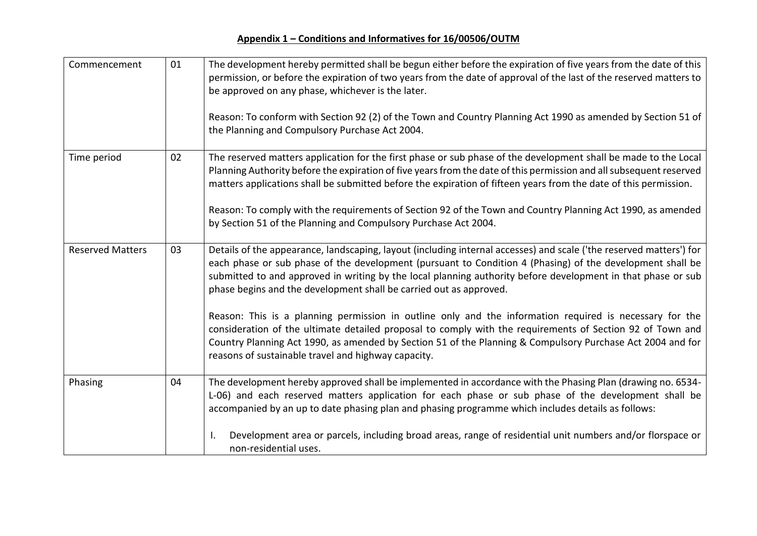| Commencement            | 01 | The development hereby permitted shall be begun either before the expiration of five years from the date of this<br>permission, or before the expiration of two years from the date of approval of the last of the reserved matters to<br>be approved on any phase, whichever is the later.<br>Reason: To conform with Section 92 (2) of the Town and Country Planning Act 1990 as amended by Section 51 of<br>the Planning and Compulsory Purchase Act 2004.                                                                                                                                                                                                                                                                                                                                                       |
|-------------------------|----|---------------------------------------------------------------------------------------------------------------------------------------------------------------------------------------------------------------------------------------------------------------------------------------------------------------------------------------------------------------------------------------------------------------------------------------------------------------------------------------------------------------------------------------------------------------------------------------------------------------------------------------------------------------------------------------------------------------------------------------------------------------------------------------------------------------------|
| Time period             | 02 | The reserved matters application for the first phase or sub phase of the development shall be made to the Local<br>Planning Authority before the expiration of five years from the date of this permission and all subsequent reserved<br>matters applications shall be submitted before the expiration of fifteen years from the date of this permission.<br>Reason: To comply with the requirements of Section 92 of the Town and Country Planning Act 1990, as amended<br>by Section 51 of the Planning and Compulsory Purchase Act 2004.                                                                                                                                                                                                                                                                        |
| <b>Reserved Matters</b> | 03 | Details of the appearance, landscaping, layout (including internal accesses) and scale ('the reserved matters') for<br>each phase or sub phase of the development (pursuant to Condition 4 (Phasing) of the development shall be<br>submitted to and approved in writing by the local planning authority before development in that phase or sub<br>phase begins and the development shall be carried out as approved.<br>Reason: This is a planning permission in outline only and the information required is necessary for the<br>consideration of the ultimate detailed proposal to comply with the requirements of Section 92 of Town and<br>Country Planning Act 1990, as amended by Section 51 of the Planning & Compulsory Purchase Act 2004 and for<br>reasons of sustainable travel and highway capacity. |
| Phasing                 | 04 | The development hereby approved shall be implemented in accordance with the Phasing Plan (drawing no. 6534-<br>L-06) and each reserved matters application for each phase or sub phase of the development shall be<br>accompanied by an up to date phasing plan and phasing programme which includes details as follows:<br>Development area or parcels, including broad areas, range of residential unit numbers and/or florspace or<br>non-residential uses.                                                                                                                                                                                                                                                                                                                                                      |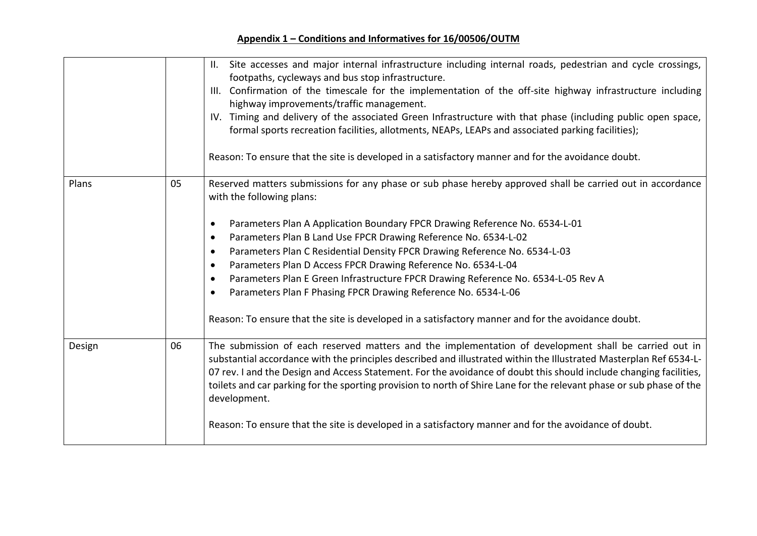|        |    | Site accesses and major internal infrastructure including internal roads, pedestrian and cycle crossings,<br>II.<br>footpaths, cycleways and bus stop infrastructure.<br>III. Confirmation of the timescale for the implementation of the off-site highway infrastructure including<br>highway improvements/traffic management.<br>IV. Timing and delivery of the associated Green Infrastructure with that phase (including public open space,<br>formal sports recreation facilities, allotments, NEAPs, LEAPs and associated parking facilities);<br>Reason: To ensure that the site is developed in a satisfactory manner and for the avoidance doubt.                                                                                                                          |
|--------|----|-------------------------------------------------------------------------------------------------------------------------------------------------------------------------------------------------------------------------------------------------------------------------------------------------------------------------------------------------------------------------------------------------------------------------------------------------------------------------------------------------------------------------------------------------------------------------------------------------------------------------------------------------------------------------------------------------------------------------------------------------------------------------------------|
| Plans  | 05 | Reserved matters submissions for any phase or sub phase hereby approved shall be carried out in accordance<br>with the following plans:<br>Parameters Plan A Application Boundary FPCR Drawing Reference No. 6534-L-01<br>$\bullet$<br>Parameters Plan B Land Use FPCR Drawing Reference No. 6534-L-02<br>$\bullet$<br>Parameters Plan C Residential Density FPCR Drawing Reference No. 6534-L-03<br>$\bullet$<br>Parameters Plan D Access FPCR Drawing Reference No. 6534-L-04<br>$\bullet$<br>Parameters Plan E Green Infrastructure FPCR Drawing Reference No. 6534-L-05 Rev A<br>$\bullet$<br>Parameters Plan F Phasing FPCR Drawing Reference No. 6534-L-06<br>$\bullet$<br>Reason: To ensure that the site is developed in a satisfactory manner and for the avoidance doubt. |
| Design | 06 | The submission of each reserved matters and the implementation of development shall be carried out in<br>substantial accordance with the principles described and illustrated within the Illustrated Masterplan Ref 6534-L-<br>07 rev. I and the Design and Access Statement. For the avoidance of doubt this should include changing facilities,<br>toilets and car parking for the sporting provision to north of Shire Lane for the relevant phase or sub phase of the<br>development.<br>Reason: To ensure that the site is developed in a satisfactory manner and for the avoidance of doubt.                                                                                                                                                                                  |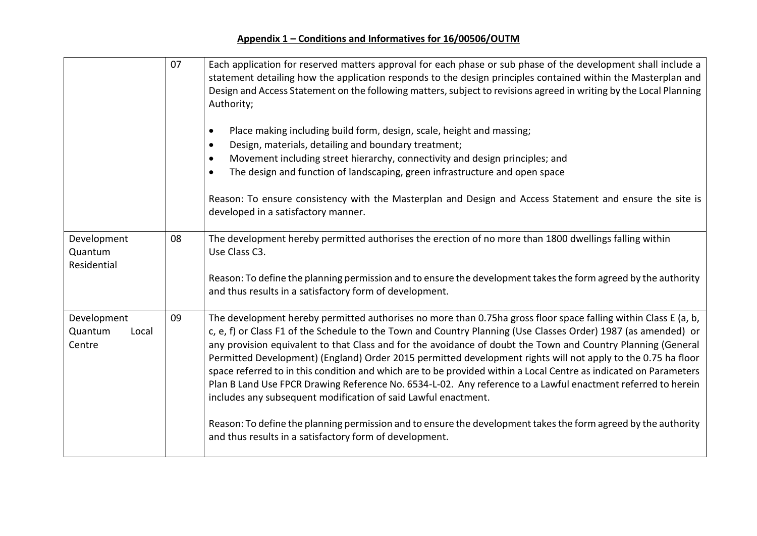|                                           | 07 | Each application for reserved matters approval for each phase or sub phase of the development shall include a<br>statement detailing how the application responds to the design principles contained within the Masterplan and<br>Design and Access Statement on the following matters, subject to revisions agreed in writing by the Local Planning<br>Authority;<br>Place making including build form, design, scale, height and massing;<br>$\bullet$<br>Design, materials, detailing and boundary treatment;<br>$\bullet$<br>Movement including street hierarchy, connectivity and design principles; and<br>The design and function of landscaping, green infrastructure and open space<br>Reason: To ensure consistency with the Masterplan and Design and Access Statement and ensure the site is<br>developed in a satisfactory manner.                                                                                                       |
|-------------------------------------------|----|-------------------------------------------------------------------------------------------------------------------------------------------------------------------------------------------------------------------------------------------------------------------------------------------------------------------------------------------------------------------------------------------------------------------------------------------------------------------------------------------------------------------------------------------------------------------------------------------------------------------------------------------------------------------------------------------------------------------------------------------------------------------------------------------------------------------------------------------------------------------------------------------------------------------------------------------------------|
| Development<br>Quantum<br>Residential     | 08 | The development hereby permitted authorises the erection of no more than 1800 dwellings falling within<br>Use Class C3.<br>Reason: To define the planning permission and to ensure the development takes the form agreed by the authority<br>and thus results in a satisfactory form of development.                                                                                                                                                                                                                                                                                                                                                                                                                                                                                                                                                                                                                                                  |
| Development<br>Quantum<br>Local<br>Centre | 09 | The development hereby permitted authorises no more than 0.75ha gross floor space falling within Class E (a, b,<br>c, e, f) or Class F1 of the Schedule to the Town and Country Planning (Use Classes Order) 1987 (as amended) or<br>any provision equivalent to that Class and for the avoidance of doubt the Town and Country Planning (General<br>Permitted Development) (England) Order 2015 permitted development rights will not apply to the 0.75 ha floor<br>space referred to in this condition and which are to be provided within a Local Centre as indicated on Parameters<br>Plan B Land Use FPCR Drawing Reference No. 6534-L-02. Any reference to a Lawful enactment referred to herein<br>includes any subsequent modification of said Lawful enactment.<br>Reason: To define the planning permission and to ensure the development takes the form agreed by the authority<br>and thus results in a satisfactory form of development. |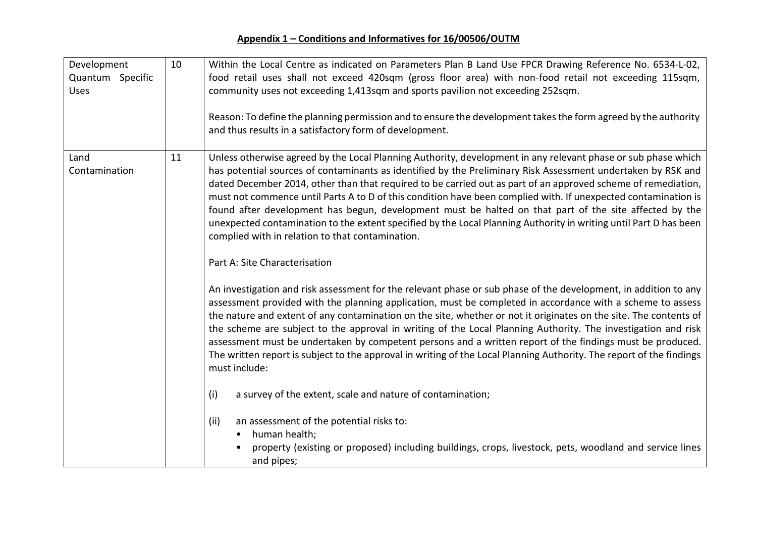| Development<br>Quantum Specific<br><b>Uses</b> | 10 | Within the Local Centre as indicated on Parameters Plan B Land Use FPCR Drawing Reference No. 6534-L-02,<br>food retail uses shall not exceed 420sqm (gross floor area) with non-food retail not exceeding 115sqm,<br>community uses not exceeding 1,413sqm and sports pavilion not exceeding 252sqm.<br>Reason: To define the planning permission and to ensure the development takes the form agreed by the authority<br>and thus results in a satisfactory form of development.                                                                                                                                                                                                                                                                                                             |
|------------------------------------------------|----|------------------------------------------------------------------------------------------------------------------------------------------------------------------------------------------------------------------------------------------------------------------------------------------------------------------------------------------------------------------------------------------------------------------------------------------------------------------------------------------------------------------------------------------------------------------------------------------------------------------------------------------------------------------------------------------------------------------------------------------------------------------------------------------------|
| Land<br>Contamination                          | 11 | Unless otherwise agreed by the Local Planning Authority, development in any relevant phase or sub phase which<br>has potential sources of contaminants as identified by the Preliminary Risk Assessment undertaken by RSK and<br>dated December 2014, other than that required to be carried out as part of an approved scheme of remediation,<br>must not commence until Parts A to D of this condition have been complied with. If unexpected contamination is<br>found after development has begun, development must be halted on that part of the site affected by the<br>unexpected contamination to the extent specified by the Local Planning Authority in writing until Part D has been<br>complied with in relation to that contamination.<br>Part A: Site Characterisation           |
|                                                |    | An investigation and risk assessment for the relevant phase or sub phase of the development, in addition to any<br>assessment provided with the planning application, must be completed in accordance with a scheme to assess<br>the nature and extent of any contamination on the site, whether or not it originates on the site. The contents of<br>the scheme are subject to the approval in writing of the Local Planning Authority. The investigation and risk<br>assessment must be undertaken by competent persons and a written report of the findings must be produced.<br>The written report is subject to the approval in writing of the Local Planning Authority. The report of the findings<br>must include:<br>a survey of the extent, scale and nature of contamination;<br>(i) |
|                                                |    | (ii)<br>an assessment of the potential risks to:<br>human health;<br>$\bullet$<br>property (existing or proposed) including buildings, crops, livestock, pets, woodland and service lines<br>and pipes;                                                                                                                                                                                                                                                                                                                                                                                                                                                                                                                                                                                        |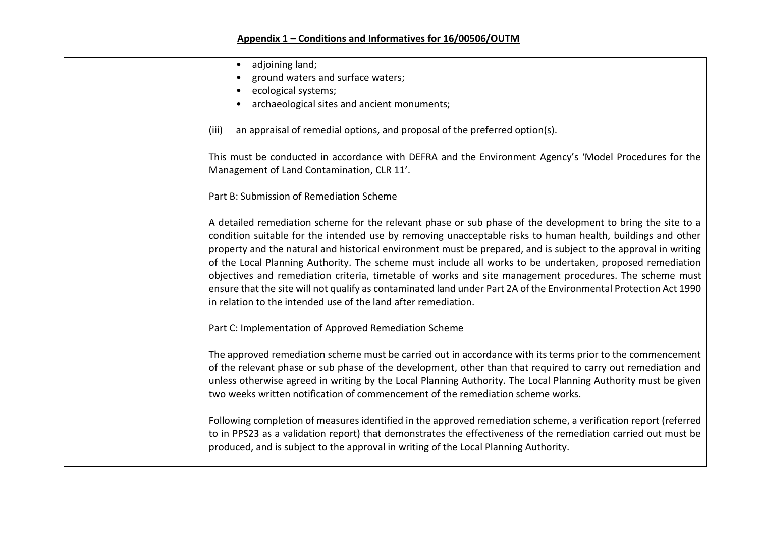| adjoining land;<br>$\bullet$                                                                                                                                                                                                                                                                                                                                                                                                                                                                                                                                                                                                                                                                                                                                 |
|--------------------------------------------------------------------------------------------------------------------------------------------------------------------------------------------------------------------------------------------------------------------------------------------------------------------------------------------------------------------------------------------------------------------------------------------------------------------------------------------------------------------------------------------------------------------------------------------------------------------------------------------------------------------------------------------------------------------------------------------------------------|
| ground waters and surface waters;                                                                                                                                                                                                                                                                                                                                                                                                                                                                                                                                                                                                                                                                                                                            |
| ecological systems;                                                                                                                                                                                                                                                                                                                                                                                                                                                                                                                                                                                                                                                                                                                                          |
| archaeological sites and ancient monuments;                                                                                                                                                                                                                                                                                                                                                                                                                                                                                                                                                                                                                                                                                                                  |
| an appraisal of remedial options, and proposal of the preferred option(s).<br>(iii)                                                                                                                                                                                                                                                                                                                                                                                                                                                                                                                                                                                                                                                                          |
| This must be conducted in accordance with DEFRA and the Environment Agency's 'Model Procedures for the<br>Management of Land Contamination, CLR 11'.                                                                                                                                                                                                                                                                                                                                                                                                                                                                                                                                                                                                         |
| Part B: Submission of Remediation Scheme                                                                                                                                                                                                                                                                                                                                                                                                                                                                                                                                                                                                                                                                                                                     |
| A detailed remediation scheme for the relevant phase or sub phase of the development to bring the site to a<br>condition suitable for the intended use by removing unacceptable risks to human health, buildings and other<br>property and the natural and historical environment must be prepared, and is subject to the approval in writing<br>of the Local Planning Authority. The scheme must include all works to be undertaken, proposed remediation<br>objectives and remediation criteria, timetable of works and site management procedures. The scheme must<br>ensure that the site will not qualify as contaminated land under Part 2A of the Environmental Protection Act 1990<br>in relation to the intended use of the land after remediation. |
| Part C: Implementation of Approved Remediation Scheme                                                                                                                                                                                                                                                                                                                                                                                                                                                                                                                                                                                                                                                                                                        |
| The approved remediation scheme must be carried out in accordance with its terms prior to the commencement<br>of the relevant phase or sub phase of the development, other than that required to carry out remediation and<br>unless otherwise agreed in writing by the Local Planning Authority. The Local Planning Authority must be given<br>two weeks written notification of commencement of the remediation scheme works.                                                                                                                                                                                                                                                                                                                              |
| Following completion of measures identified in the approved remediation scheme, a verification report (referred<br>to in PPS23 as a validation report) that demonstrates the effectiveness of the remediation carried out must be<br>produced, and is subject to the approval in writing of the Local Planning Authority.                                                                                                                                                                                                                                                                                                                                                                                                                                    |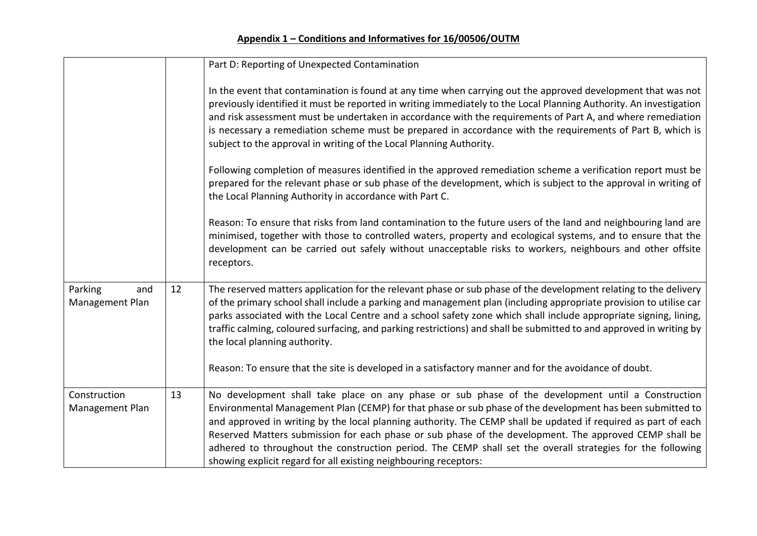|                                   |    | Part D: Reporting of Unexpected Contamination                                                                                                                                                                                                                                                                                                                                                                                                                                                                                                                                                                                |
|-----------------------------------|----|------------------------------------------------------------------------------------------------------------------------------------------------------------------------------------------------------------------------------------------------------------------------------------------------------------------------------------------------------------------------------------------------------------------------------------------------------------------------------------------------------------------------------------------------------------------------------------------------------------------------------|
|                                   |    | In the event that contamination is found at any time when carrying out the approved development that was not<br>previously identified it must be reported in writing immediately to the Local Planning Authority. An investigation<br>and risk assessment must be undertaken in accordance with the requirements of Part A, and where remediation<br>is necessary a remediation scheme must be prepared in accordance with the requirements of Part B, which is<br>subject to the approval in writing of the Local Planning Authority.                                                                                       |
|                                   |    | Following completion of measures identified in the approved remediation scheme a verification report must be<br>prepared for the relevant phase or sub phase of the development, which is subject to the approval in writing of<br>the Local Planning Authority in accordance with Part C.                                                                                                                                                                                                                                                                                                                                   |
|                                   |    | Reason: To ensure that risks from land contamination to the future users of the land and neighbouring land are<br>minimised, together with those to controlled waters, property and ecological systems, and to ensure that the<br>development can be carried out safely without unacceptable risks to workers, neighbours and other offsite<br>receptors.                                                                                                                                                                                                                                                                    |
| Parking<br>and<br>Management Plan | 12 | The reserved matters application for the relevant phase or sub phase of the development relating to the delivery<br>of the primary school shall include a parking and management plan (including appropriate provision to utilise car<br>parks associated with the Local Centre and a school safety zone which shall include appropriate signing, lining,<br>traffic calming, coloured surfacing, and parking restrictions) and shall be submitted to and approved in writing by<br>the local planning authority.<br>Reason: To ensure that the site is developed in a satisfactory manner and for the avoidance of doubt.   |
| Construction<br>Management Plan   | 13 | No development shall take place on any phase or sub phase of the development until a Construction<br>Environmental Management Plan (CEMP) for that phase or sub phase of the development has been submitted to<br>and approved in writing by the local planning authority. The CEMP shall be updated if required as part of each<br>Reserved Matters submission for each phase or sub phase of the development. The approved CEMP shall be<br>adhered to throughout the construction period. The CEMP shall set the overall strategies for the following<br>showing explicit regard for all existing neighbouring receptors: |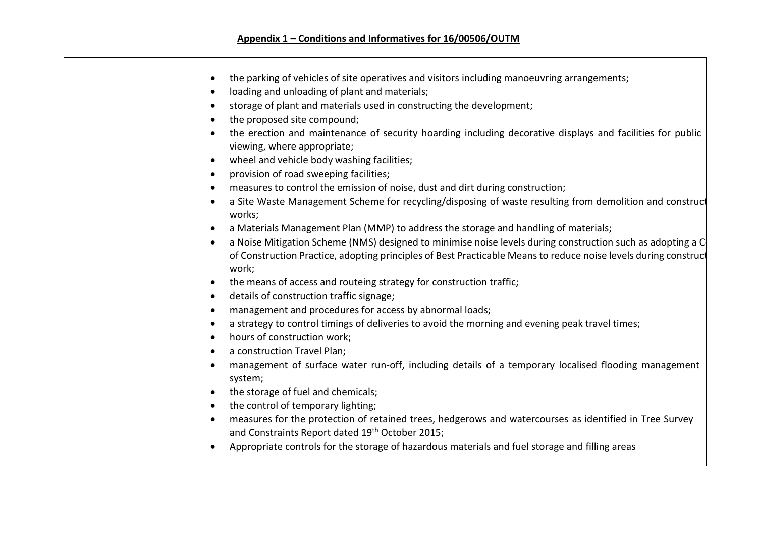| $\bullet$ | the parking of vehicles of site operatives and visitors including manoeuvring arrangements;                                              |
|-----------|------------------------------------------------------------------------------------------------------------------------------------------|
| $\bullet$ | loading and unloading of plant and materials;                                                                                            |
| $\bullet$ | storage of plant and materials used in constructing the development;                                                                     |
|           | the proposed site compound;                                                                                                              |
|           | the erection and maintenance of security hoarding including decorative displays and facilities for public<br>viewing, where appropriate; |
| $\bullet$ | wheel and vehicle body washing facilities;                                                                                               |
| $\bullet$ | provision of road sweeping facilities;                                                                                                   |
| $\bullet$ | measures to control the emission of noise, dust and dirt during construction;                                                            |
|           | a Site Waste Management Scheme for recycling/disposing of waste resulting from demolition and construct<br>works;                        |
| $\bullet$ | a Materials Management Plan (MMP) to address the storage and handling of materials;                                                      |
|           | a Noise Mitigation Scheme (NMS) designed to minimise noise levels during construction such as adopting a C                               |
|           | of Construction Practice, adopting principles of Best Practicable Means to reduce noise levels during construct<br>work;                 |
| $\bullet$ | the means of access and routeing strategy for construction traffic;                                                                      |
| $\bullet$ | details of construction traffic signage;                                                                                                 |
| $\bullet$ | management and procedures for access by abnormal loads;                                                                                  |
| $\bullet$ | a strategy to control timings of deliveries to avoid the morning and evening peak travel times;                                          |
|           | hours of construction work;                                                                                                              |
| $\bullet$ | a construction Travel Plan;                                                                                                              |
|           | management of surface water run-off, including details of a temporary localised flooding management<br>system;                           |
|           | the storage of fuel and chemicals;                                                                                                       |
| $\bullet$ | the control of temporary lighting;                                                                                                       |
| $\bullet$ | measures for the protection of retained trees, hedgerows and watercourses as identified in Tree Survey                                   |
|           | and Constraints Report dated 19th October 2015;                                                                                          |
| $\bullet$ | Appropriate controls for the storage of hazardous materials and fuel storage and filling areas                                           |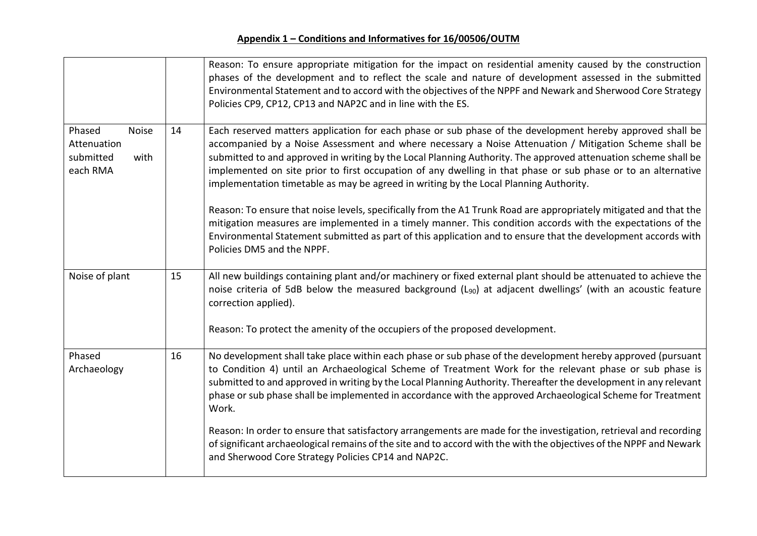|                                                                        |    | Reason: To ensure appropriate mitigation for the impact on residential amenity caused by the construction<br>phases of the development and to reflect the scale and nature of development assessed in the submitted<br>Environmental Statement and to accord with the objectives of the NPPF and Newark and Sherwood Core Strategy<br>Policies CP9, CP12, CP13 and NAP2C and in line with the ES.                                                                                                                                               |
|------------------------------------------------------------------------|----|-------------------------------------------------------------------------------------------------------------------------------------------------------------------------------------------------------------------------------------------------------------------------------------------------------------------------------------------------------------------------------------------------------------------------------------------------------------------------------------------------------------------------------------------------|
| Phased<br><b>Noise</b><br>Attenuation<br>submitted<br>with<br>each RMA | 14 | Each reserved matters application for each phase or sub phase of the development hereby approved shall be<br>accompanied by a Noise Assessment and where necessary a Noise Attenuation / Mitigation Scheme shall be<br>submitted to and approved in writing by the Local Planning Authority. The approved attenuation scheme shall be<br>implemented on site prior to first occupation of any dwelling in that phase or sub phase or to an alternative<br>implementation timetable as may be agreed in writing by the Local Planning Authority. |
|                                                                        |    | Reason: To ensure that noise levels, specifically from the A1 Trunk Road are appropriately mitigated and that the<br>mitigation measures are implemented in a timely manner. This condition accords with the expectations of the<br>Environmental Statement submitted as part of this application and to ensure that the development accords with<br>Policies DM5 and the NPPF.                                                                                                                                                                 |
| Noise of plant                                                         | 15 | All new buildings containing plant and/or machinery or fixed external plant should be attenuated to achieve the<br>noise criteria of 5dB below the measured background (L <sub>90</sub> ) at adjacent dwellings' (with an acoustic feature<br>correction applied).                                                                                                                                                                                                                                                                              |
|                                                                        |    | Reason: To protect the amenity of the occupiers of the proposed development.                                                                                                                                                                                                                                                                                                                                                                                                                                                                    |
| Phased<br>Archaeology                                                  | 16 | No development shall take place within each phase or sub phase of the development hereby approved (pursuant<br>to Condition 4) until an Archaeological Scheme of Treatment Work for the relevant phase or sub phase is<br>submitted to and approved in writing by the Local Planning Authority. Thereafter the development in any relevant<br>phase or sub phase shall be implemented in accordance with the approved Archaeological Scheme for Treatment<br>Work.                                                                              |
|                                                                        |    | Reason: In order to ensure that satisfactory arrangements are made for the investigation, retrieval and recording<br>of significant archaeological remains of the site and to accord with the with the objectives of the NPPF and Newark<br>and Sherwood Core Strategy Policies CP14 and NAP2C.                                                                                                                                                                                                                                                 |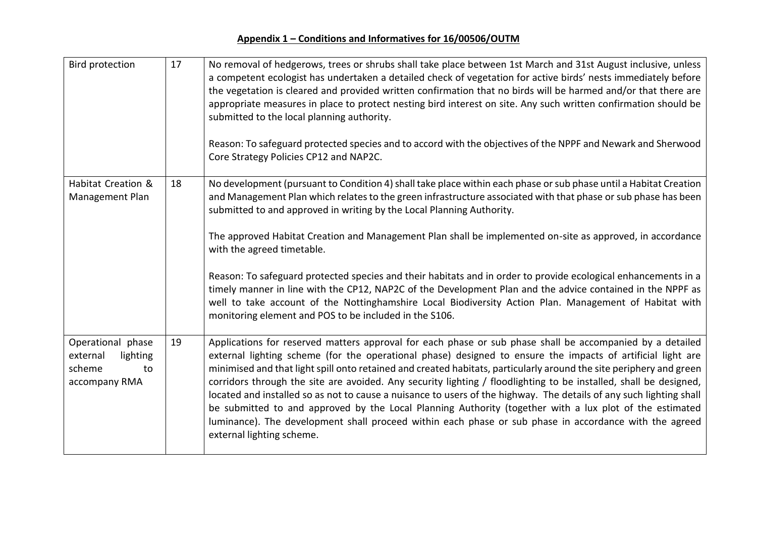| <b>Bird protection</b>                                                     | 17 | No removal of hedgerows, trees or shrubs shall take place between 1st March and 31st August inclusive, unless<br>a competent ecologist has undertaken a detailed check of vegetation for active birds' nests immediately before<br>the vegetation is cleared and provided written confirmation that no birds will be harmed and/or that there are<br>appropriate measures in place to protect nesting bird interest on site. Any such written confirmation should be<br>submitted to the local planning authority.<br>Reason: To safeguard protected species and to accord with the objectives of the NPPF and Newark and Sherwood<br>Core Strategy Policies CP12 and NAP2C.                                                                                                                                                                  |
|----------------------------------------------------------------------------|----|-----------------------------------------------------------------------------------------------------------------------------------------------------------------------------------------------------------------------------------------------------------------------------------------------------------------------------------------------------------------------------------------------------------------------------------------------------------------------------------------------------------------------------------------------------------------------------------------------------------------------------------------------------------------------------------------------------------------------------------------------------------------------------------------------------------------------------------------------|
| Habitat Creation &<br>Management Plan                                      | 18 | No development (pursuant to Condition 4) shall take place within each phase or sub phase until a Habitat Creation<br>and Management Plan which relates to the green infrastructure associated with that phase or sub phase has been<br>submitted to and approved in writing by the Local Planning Authority.<br>The approved Habitat Creation and Management Plan shall be implemented on-site as approved, in accordance<br>with the agreed timetable.                                                                                                                                                                                                                                                                                                                                                                                       |
|                                                                            |    | Reason: To safeguard protected species and their habitats and in order to provide ecological enhancements in a<br>timely manner in line with the CP12, NAP2C of the Development Plan and the advice contained in the NPPF as<br>well to take account of the Nottinghamshire Local Biodiversity Action Plan. Management of Habitat with<br>monitoring element and POS to be included in the S106.                                                                                                                                                                                                                                                                                                                                                                                                                                              |
| Operational phase<br>lighting<br>external<br>scheme<br>to<br>accompany RMA | 19 | Applications for reserved matters approval for each phase or sub phase shall be accompanied by a detailed<br>external lighting scheme (for the operational phase) designed to ensure the impacts of artificial light are<br>minimised and that light spill onto retained and created habitats, particularly around the site periphery and green<br>corridors through the site are avoided. Any security lighting / floodlighting to be installed, shall be designed,<br>located and installed so as not to cause a nuisance to users of the highway. The details of any such lighting shall<br>be submitted to and approved by the Local Planning Authority (together with a lux plot of the estimated<br>luminance). The development shall proceed within each phase or sub phase in accordance with the agreed<br>external lighting scheme. |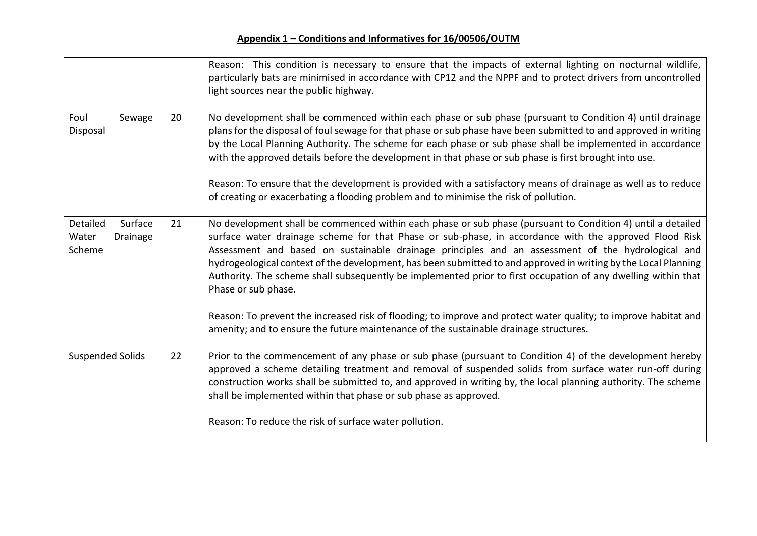|                                                    |    | Reason: This condition is necessary to ensure that the impacts of external lighting on nocturnal wildlife,<br>particularly bats are minimised in accordance with CP12 and the NPPF and to protect drivers from uncontrolled<br>light sources near the public highway.                                                                                                                                                                                                                                                                                                                                                                                           |
|----------------------------------------------------|----|-----------------------------------------------------------------------------------------------------------------------------------------------------------------------------------------------------------------------------------------------------------------------------------------------------------------------------------------------------------------------------------------------------------------------------------------------------------------------------------------------------------------------------------------------------------------------------------------------------------------------------------------------------------------|
| Foul<br>Sewage<br>Disposal                         | 20 | No development shall be commenced within each phase or sub phase (pursuant to Condition 4) until drainage<br>plans for the disposal of foul sewage for that phase or sub phase have been submitted to and approved in writing<br>by the Local Planning Authority. The scheme for each phase or sub phase shall be implemented in accordance<br>with the approved details before the development in that phase or sub phase is first brought into use.<br>Reason: To ensure that the development is provided with a satisfactory means of drainage as well as to reduce<br>of creating or exacerbating a flooding problem and to minimise the risk of pollution. |
| Detailed<br>Surface<br>Water<br>Drainage<br>Scheme | 21 | No development shall be commenced within each phase or sub phase (pursuant to Condition 4) until a detailed<br>surface water drainage scheme for that Phase or sub-phase, in accordance with the approved Flood Risk<br>Assessment and based on sustainable drainage principles and an assessment of the hydrological and<br>hydrogeological context of the development, has been submitted to and approved in writing by the Local Planning<br>Authority. The scheme shall subsequently be implemented prior to first occupation of any dwelling within that<br>Phase or sub phase.                                                                            |
|                                                    |    | Reason: To prevent the increased risk of flooding; to improve and protect water quality; to improve habitat and<br>amenity; and to ensure the future maintenance of the sustainable drainage structures.                                                                                                                                                                                                                                                                                                                                                                                                                                                        |
| <b>Suspended Solids</b>                            | 22 | Prior to the commencement of any phase or sub phase (pursuant to Condition 4) of the development hereby<br>approved a scheme detailing treatment and removal of suspended solids from surface water run-off during<br>construction works shall be submitted to, and approved in writing by, the local planning authority. The scheme<br>shall be implemented within that phase or sub phase as approved.                                                                                                                                                                                                                                                        |
|                                                    |    | Reason: To reduce the risk of surface water pollution.                                                                                                                                                                                                                                                                                                                                                                                                                                                                                                                                                                                                          |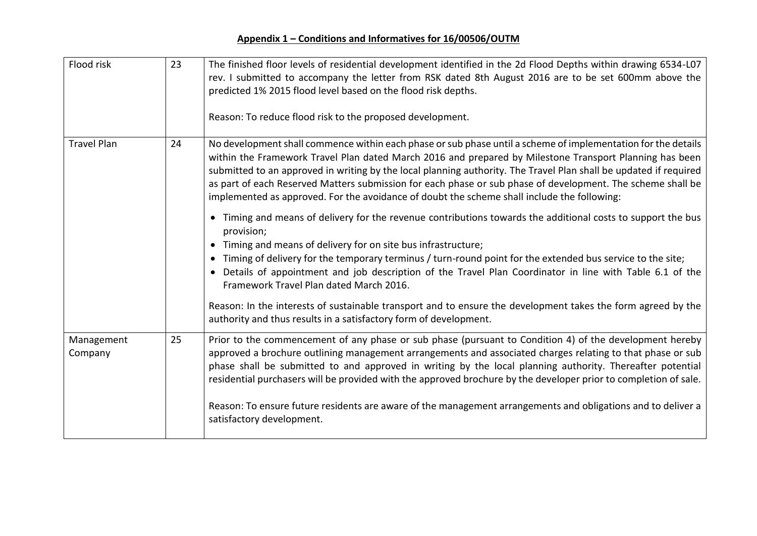| Flood risk            | 23 | The finished floor levels of residential development identified in the 2d Flood Depths within drawing 6534-L07<br>rev. I submitted to accompany the letter from RSK dated 8th August 2016 are to be set 600mm above the<br>predicted 1% 2015 flood level based on the flood risk depths.<br>Reason: To reduce flood risk to the proposed development.                                                                                                                                                                                                       |
|-----------------------|----|-------------------------------------------------------------------------------------------------------------------------------------------------------------------------------------------------------------------------------------------------------------------------------------------------------------------------------------------------------------------------------------------------------------------------------------------------------------------------------------------------------------------------------------------------------------|
| <b>Travel Plan</b>    | 24 | No development shall commence within each phase or sub phase until a scheme of implementation for the details<br>within the Framework Travel Plan dated March 2016 and prepared by Milestone Transport Planning has been<br>submitted to an approved in writing by the local planning authority. The Travel Plan shall be updated if required<br>as part of each Reserved Matters submission for each phase or sub phase of development. The scheme shall be<br>implemented as approved. For the avoidance of doubt the scheme shall include the following: |
|                       |    | • Timing and means of delivery for the revenue contributions towards the additional costs to support the bus<br>provision;<br>• Timing and means of delivery for on site bus infrastructure;<br>Timing of delivery for the temporary terminus / turn-round point for the extended bus service to the site;<br>$\bullet$<br>• Details of appointment and job description of the Travel Plan Coordinator in line with Table 6.1 of the<br>Framework Travel Plan dated March 2016.                                                                             |
|                       |    | Reason: In the interests of sustainable transport and to ensure the development takes the form agreed by the<br>authority and thus results in a satisfactory form of development.                                                                                                                                                                                                                                                                                                                                                                           |
| Management<br>Company | 25 | Prior to the commencement of any phase or sub phase (pursuant to Condition 4) of the development hereby<br>approved a brochure outlining management arrangements and associated charges relating to that phase or sub<br>phase shall be submitted to and approved in writing by the local planning authority. Thereafter potential<br>residential purchasers will be provided with the approved brochure by the developer prior to completion of sale.                                                                                                      |
|                       |    | Reason: To ensure future residents are aware of the management arrangements and obligations and to deliver a<br>satisfactory development.                                                                                                                                                                                                                                                                                                                                                                                                                   |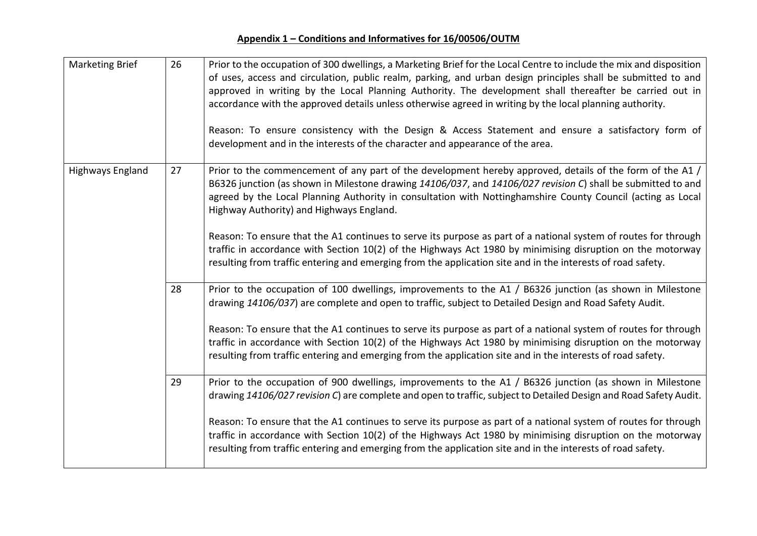| <b>Marketing Brief</b> | 26 | Prior to the occupation of 300 dwellings, a Marketing Brief for the Local Centre to include the mix and disposition<br>of uses, access and circulation, public realm, parking, and urban design principles shall be submitted to and<br>approved in writing by the Local Planning Authority. The development shall thereafter be carried out in<br>accordance with the approved details unless otherwise agreed in writing by the local planning authority.<br>Reason: To ensure consistency with the Design & Access Statement and ensure a satisfactory form of<br>development and in the interests of the character and appearance of the area. |
|------------------------|----|----------------------------------------------------------------------------------------------------------------------------------------------------------------------------------------------------------------------------------------------------------------------------------------------------------------------------------------------------------------------------------------------------------------------------------------------------------------------------------------------------------------------------------------------------------------------------------------------------------------------------------------------------|
| Highways England       | 27 | Prior to the commencement of any part of the development hereby approved, details of the form of the A1 /<br>B6326 junction (as shown in Milestone drawing 14106/037, and 14106/027 revision C) shall be submitted to and<br>agreed by the Local Planning Authority in consultation with Nottinghamshire County Council (acting as Local<br>Highway Authority) and Highways England.                                                                                                                                                                                                                                                               |
|                        |    | Reason: To ensure that the A1 continues to serve its purpose as part of a national system of routes for through<br>traffic in accordance with Section 10(2) of the Highways Act 1980 by minimising disruption on the motorway<br>resulting from traffic entering and emerging from the application site and in the interests of road safety.                                                                                                                                                                                                                                                                                                       |
|                        | 28 | Prior to the occupation of 100 dwellings, improvements to the A1 / B6326 junction (as shown in Milestone<br>drawing 14106/037) are complete and open to traffic, subject to Detailed Design and Road Safety Audit.<br>Reason: To ensure that the A1 continues to serve its purpose as part of a national system of routes for through<br>traffic in accordance with Section 10(2) of the Highways Act 1980 by minimising disruption on the motorway<br>resulting from traffic entering and emerging from the application site and in the interests of road safety.                                                                                 |
|                        | 29 | Prior to the occupation of 900 dwellings, improvements to the A1 / B6326 junction (as shown in Milestone<br>drawing 14106/027 revision C) are complete and open to traffic, subject to Detailed Design and Road Safety Audit.<br>Reason: To ensure that the A1 continues to serve its purpose as part of a national system of routes for through<br>traffic in accordance with Section 10(2) of the Highways Act 1980 by minimising disruption on the motorway<br>resulting from traffic entering and emerging from the application site and in the interests of road safety.                                                                      |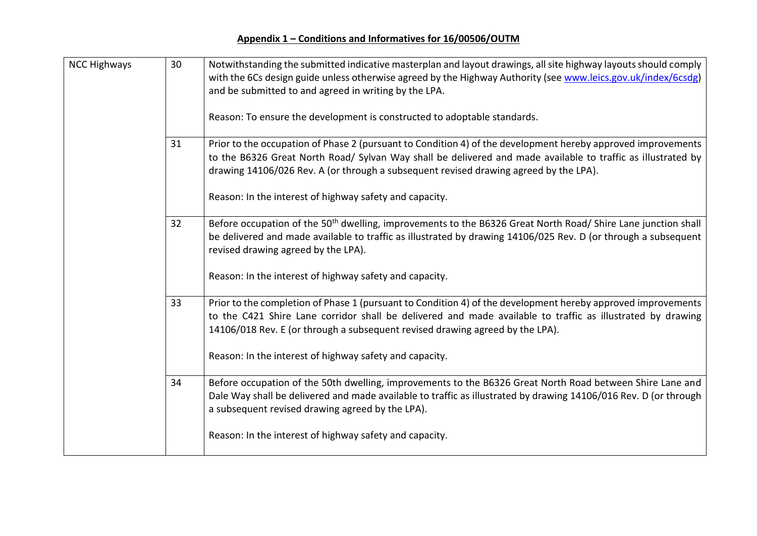| <b>NCC Highways</b> | 30 | Notwithstanding the submitted indicative masterplan and layout drawings, all site highway layouts should comply<br>with the 6Cs design guide unless otherwise agreed by the Highway Authority (see www.leics.gov.uk/index/6csdg)<br>and be submitted to and agreed in writing by the LPA.<br>Reason: To ensure the development is constructed to adoptable standards.            |
|---------------------|----|----------------------------------------------------------------------------------------------------------------------------------------------------------------------------------------------------------------------------------------------------------------------------------------------------------------------------------------------------------------------------------|
|                     | 31 | Prior to the occupation of Phase 2 (pursuant to Condition 4) of the development hereby approved improvements<br>to the B6326 Great North Road/ Sylvan Way shall be delivered and made available to traffic as illustrated by<br>drawing 14106/026 Rev. A (or through a subsequent revised drawing agreed by the LPA).<br>Reason: In the interest of highway safety and capacity. |
|                     | 32 | Before occupation of the 50 <sup>th</sup> dwelling, improvements to the B6326 Great North Road/ Shire Lane junction shall<br>be delivered and made available to traffic as illustrated by drawing 14106/025 Rev. D (or through a subsequent<br>revised drawing agreed by the LPA).<br>Reason: In the interest of highway safety and capacity.                                    |
|                     | 33 | Prior to the completion of Phase 1 (pursuant to Condition 4) of the development hereby approved improvements<br>to the C421 Shire Lane corridor shall be delivered and made available to traffic as illustrated by drawing<br>14106/018 Rev. E (or through a subsequent revised drawing agreed by the LPA).<br>Reason: In the interest of highway safety and capacity.           |
|                     | 34 | Before occupation of the 50th dwelling, improvements to the B6326 Great North Road between Shire Lane and<br>Dale Way shall be delivered and made available to traffic as illustrated by drawing 14106/016 Rev. D (or through<br>a subsequent revised drawing agreed by the LPA).<br>Reason: In the interest of highway safety and capacity.                                     |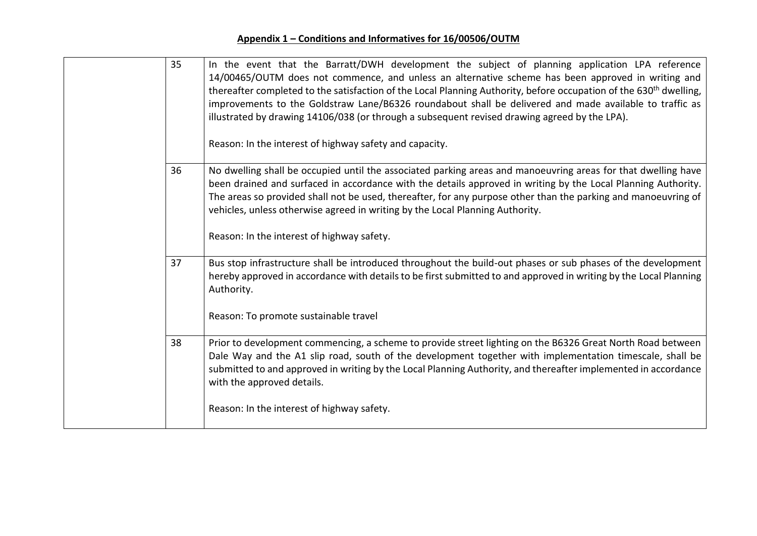| 35 | In the event that the Barratt/DWH development the subject of planning application LPA reference<br>14/00465/OUTM does not commence, and unless an alternative scheme has been approved in writing and<br>thereafter completed to the satisfaction of the Local Planning Authority, before occupation of the 630 <sup>th</sup> dwelling,<br>improvements to the Goldstraw Lane/B6326 roundabout shall be delivered and made available to traffic as<br>illustrated by drawing 14106/038 (or through a subsequent revised drawing agreed by the LPA).<br>Reason: In the interest of highway safety and capacity. |
|----|----------------------------------------------------------------------------------------------------------------------------------------------------------------------------------------------------------------------------------------------------------------------------------------------------------------------------------------------------------------------------------------------------------------------------------------------------------------------------------------------------------------------------------------------------------------------------------------------------------------|
| 36 | No dwelling shall be occupied until the associated parking areas and manoeuvring areas for that dwelling have<br>been drained and surfaced in accordance with the details approved in writing by the Local Planning Authority.<br>The areas so provided shall not be used, thereafter, for any purpose other than the parking and manoeuvring of<br>vehicles, unless otherwise agreed in writing by the Local Planning Authority.<br>Reason: In the interest of highway safety.                                                                                                                                |
| 37 | Bus stop infrastructure shall be introduced throughout the build-out phases or sub phases of the development<br>hereby approved in accordance with details to be first submitted to and approved in writing by the Local Planning<br>Authority.<br>Reason: To promote sustainable travel                                                                                                                                                                                                                                                                                                                       |
| 38 | Prior to development commencing, a scheme to provide street lighting on the B6326 Great North Road between<br>Dale Way and the A1 slip road, south of the development together with implementation timescale, shall be<br>submitted to and approved in writing by the Local Planning Authority, and thereafter implemented in accordance<br>with the approved details.                                                                                                                                                                                                                                         |
|    | Reason: In the interest of highway safety.                                                                                                                                                                                                                                                                                                                                                                                                                                                                                                                                                                     |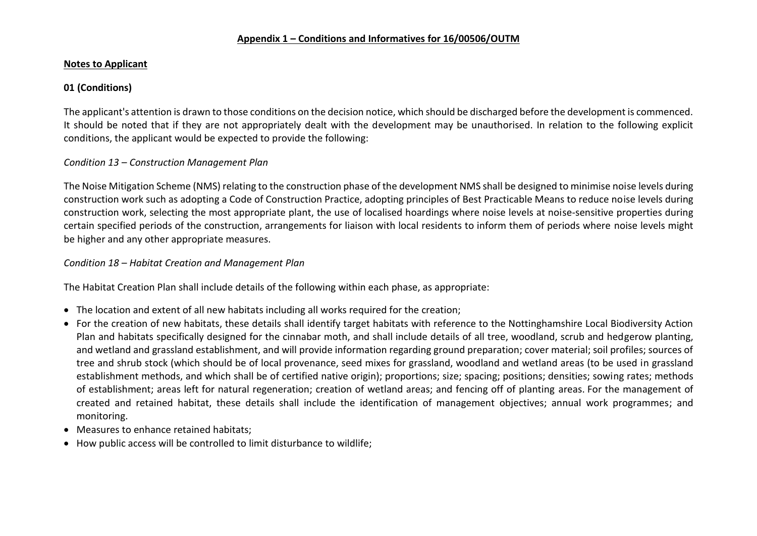#### **Notes to Applicant**

## **01 (Conditions)**

The applicant's attention is drawn to those conditions on the decision notice, which should be discharged before the development is commenced. It should be noted that if they are not appropriately dealt with the development may be unauthorised. In relation to the following explicit conditions, the applicant would be expected to provide the following:

### *Condition 13 – Construction Management Plan*

The Noise Mitigation Scheme (NMS) relating to the construction phase of the development NMS shall be designed to minimise noise levels during construction work such as adopting a Code of Construction Practice, adopting principles of Best Practicable Means to reduce noise levels during construction work, selecting the most appropriate plant, the use of localised hoardings where noise levels at noise-sensitive properties during certain specified periods of the construction, arrangements for liaison with local residents to inform them of periods where noise levels might be higher and any other appropriate measures.

#### *Condition 18 – Habitat Creation and Management Plan*

The Habitat Creation Plan shall include details of the following within each phase, as appropriate:

- The location and extent of all new habitats including all works required for the creation;
- For the creation of new habitats, these details shall identify target habitats with reference to the Nottinghamshire Local Biodiversity Action Plan and habitats specifically designed for the cinnabar moth, and shall include details of all tree, woodland, scrub and hedgerow planting, and wetland and grassland establishment, and will provide information regarding ground preparation; cover material; soil profiles; sources of tree and shrub stock (which should be of local provenance, seed mixes for grassland, woodland and wetland areas (to be used in grassland establishment methods, and which shall be of certified native origin); proportions; size; spacing; positions; densities; sowing rates; methods of establishment; areas left for natural regeneration; creation of wetland areas; and fencing off of planting areas. For the management of created and retained habitat, these details shall include the identification of management objectives; annual work programmes; and monitoring.
- Measures to enhance retained habitats:
- How public access will be controlled to limit disturbance to wildlife;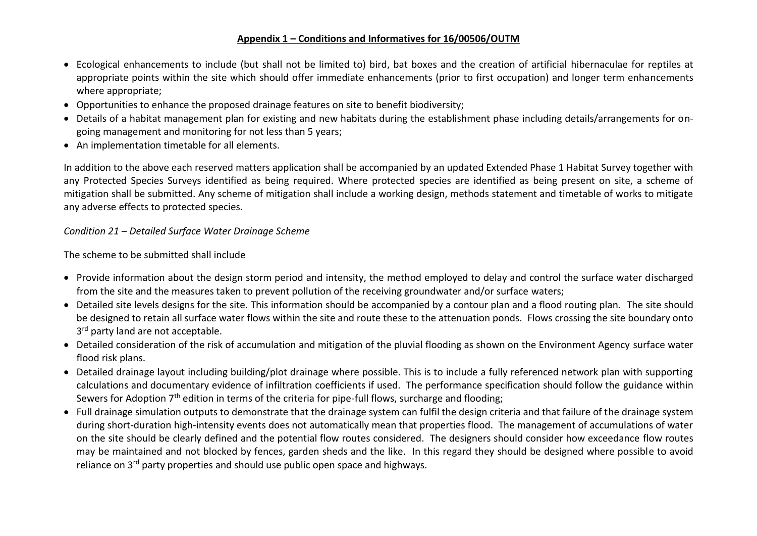- Ecological enhancements to include (but shall not be limited to) bird, bat boxes and the creation of artificial hibernaculae for reptiles at appropriate points within the site which should offer immediate enhancements (prior to first occupation) and longer term enhancements where appropriate;
- Opportunities to enhance the proposed drainage features on site to benefit biodiversity;
- Details of a habitat management plan for existing and new habitats during the establishment phase including details/arrangements for ongoing management and monitoring for not less than 5 years;
- An implementation timetable for all elements.

In addition to the above each reserved matters application shall be accompanied by an updated Extended Phase 1 Habitat Survey together with any Protected Species Surveys identified as being required. Where protected species are identified as being present on site, a scheme of mitigation shall be submitted. Any scheme of mitigation shall include a working design, methods statement and timetable of works to mitigate any adverse effects to protected species.

*Condition 21 – Detailed Surface Water Drainage Scheme*

The scheme to be submitted shall include

- Provide information about the design storm period and intensity, the method employed to delay and control the surface water discharged from the site and the measures taken to prevent pollution of the receiving groundwater and/or surface waters;
- Detailed site levels designs for the site. This information should be accompanied by a contour plan and a flood routing plan. The site should be designed to retain all surface water flows within the site and route these to the attenuation ponds. Flows crossing the site boundary onto 3<sup>rd</sup> party land are not acceptable.
- Detailed consideration of the risk of accumulation and mitigation of the pluvial flooding as shown on the Environment Agency surface water flood risk plans.
- Detailed drainage layout including building/plot drainage where possible. This is to include a fully referenced network plan with supporting calculations and documentary evidence of infiltration coefficients if used. The performance specification should follow the guidance within Sewers for Adoption 7<sup>th</sup> edition in terms of the criteria for pipe-full flows, surcharge and flooding;
- Full drainage simulation outputs to demonstrate that the drainage system can fulfil the design criteria and that failure of the drainage system during short-duration high-intensity events does not automatically mean that properties flood. The management of accumulations of water on the site should be clearly defined and the potential flow routes considered. The designers should consider how exceedance flow routes may be maintained and not blocked by fences, garden sheds and the like. In this regard they should be designed where possible to avoid reliance on 3<sup>rd</sup> party properties and should use public open space and highways.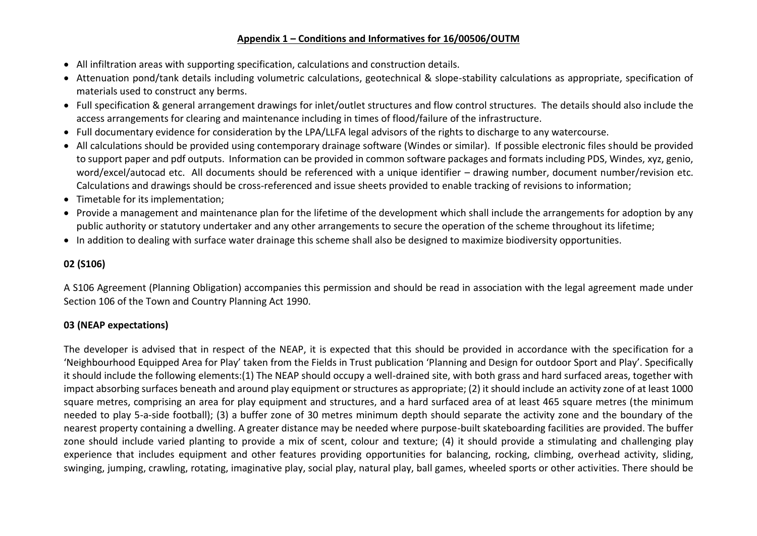- All infiltration areas with supporting specification, calculations and construction details.
- Attenuation pond/tank details including volumetric calculations, geotechnical & slope-stability calculations as appropriate, specification of materials used to construct any berms.
- Full specification & general arrangement drawings for inlet/outlet structures and flow control structures. The details should also include the access arrangements for clearing and maintenance including in times of flood/failure of the infrastructure.
- Full documentary evidence for consideration by the LPA/LLFA legal advisors of the rights to discharge to any watercourse.
- All calculations should be provided using contemporary drainage software (Windes or similar). If possible electronic files should be provided to support paper and pdf outputs. Information can be provided in common software packages and formats including PDS, Windes, xyz, genio, word/excel/autocad etc. All documents should be referenced with a unique identifier – drawing number, document number/revision etc. Calculations and drawings should be cross-referenced and issue sheets provided to enable tracking of revisions to information;
- Timetable for its implementation;
- Provide a management and maintenance plan for the lifetime of the development which shall include the arrangements for adoption by any public authority or statutory undertaker and any other arrangements to secure the operation of the scheme throughout its lifetime;
- In addition to dealing with surface water drainage this scheme shall also be designed to maximize biodiversity opportunities.

## **02 (S106)**

A S106 Agreement (Planning Obligation) accompanies this permission and should be read in association with the legal agreement made under Section 106 of the Town and Country Planning Act 1990.

# **03 (NEAP expectations)**

The developer is advised that in respect of the NEAP, it is expected that this should be provided in accordance with the specification for a 'Neighbourhood Equipped Area for Play' taken from the Fields in Trust publication 'Planning and Design for outdoor Sport and Play'. Specifically it should include the following elements:(1) The NEAP should occupy a well-drained site, with both grass and hard surfaced areas, together with impact absorbing surfaces beneath and around play equipment or structures as appropriate; (2) it should include an activity zone of at least 1000 square metres, comprising an area for play equipment and structures, and a hard surfaced area of at least 465 square metres (the minimum needed to play 5-a-side football); (3) a buffer zone of 30 metres minimum depth should separate the activity zone and the boundary of the nearest property containing a dwelling. A greater distance may be needed where purpose-built skateboarding facilities are provided. The buffer zone should include varied planting to provide a mix of scent, colour and texture; (4) it should provide a stimulating and challenging play experience that includes equipment and other features providing opportunities for balancing, rocking, climbing, overhead activity, sliding, swinging, jumping, crawling, rotating, imaginative play, social play, natural play, ball games, wheeled sports or other activities. There should be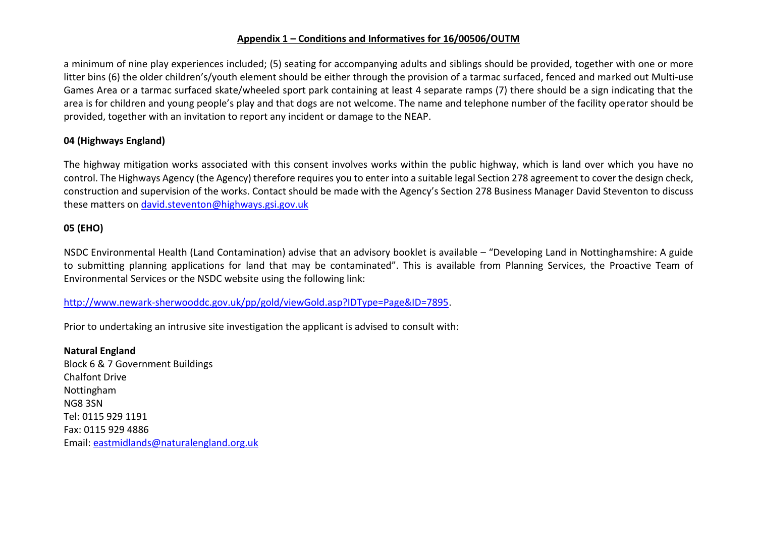a minimum of nine play experiences included; (5) seating for accompanying adults and siblings should be provided, together with one or more litter bins (6) the older children's/youth element should be either through the provision of a tarmac surfaced, fenced and marked out Multi-use Games Area or a tarmac surfaced skate/wheeled sport park containing at least 4 separate ramps (7) there should be a sign indicating that the area is for children and young people's play and that dogs are not welcome. The name and telephone number of the facility operator should be provided, together with an invitation to report any incident or damage to the NEAP.

### **04 (Highways England)**

The highway mitigation works associated with this consent involves works within the public highway, which is land over which you have no control. The Highways Agency (the Agency) therefore requires you to enter into a suitable legal Section 278 agreement to cover the design check, construction and supervision of the works. Contact should be made with the Agency's Section 278 Business Manager David Steventon to discuss these matters on [david.steventon@highways.gsi.gov.uk](mailto:david.steventon@highways.gsi.gov.uk)

#### **05 (EHO)**

NSDC Environmental Health (Land Contamination) advise that an advisory booklet is available – "Developing Land in Nottinghamshire: A guide to submitting planning applications for land that may be contaminated". This is available from Planning Services, the Proactive Team of Environmental Services or the NSDC website using the following link:

#### [http://www.newark-sherwooddc.gov.uk/pp/gold/viewGold.asp?IDType=Page&ID=7895.](http://www.newark-sherwooddc.gov.uk/pp/gold/viewGold.asp?IDType=Page&ID=7895)

Prior to undertaking an intrusive site investigation the applicant is advised to consult with:

**Natural England** Block 6 & 7 Government Buildings Chalfont Drive Nottingham NG8 3SN Tel: 0115 929 1191 Fax: 0115 929 4886 Email: [eastmidlands@naturalengland.org.uk](mailto:eastmidlands@naturalengland.org.uk)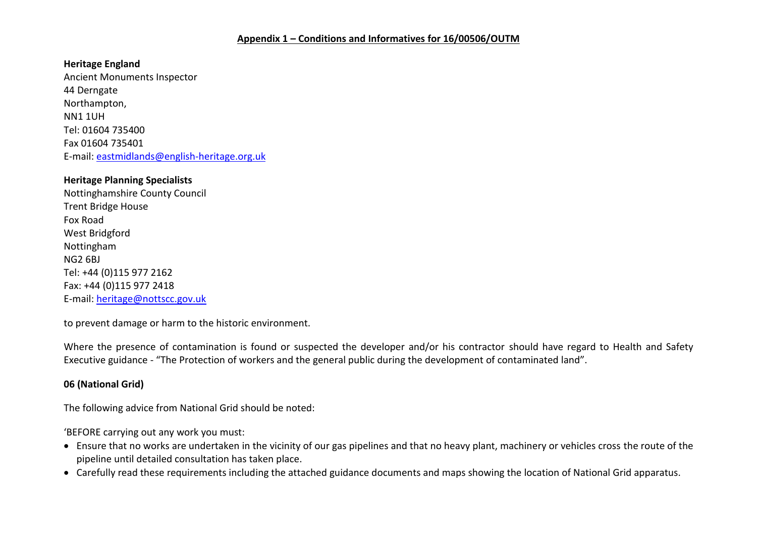**Heritage England** Ancient Monuments Inspector 44 Derngate Northampton, NN1 1UH Tel: 01604 735400 Fax 01604 735401 E-mail: [eastmidlands@english-heritage.org.uk](mailto:eastmidlands@english-heritage.org.uk)

#### **Heritage Planning Specialists**

Nottinghamshire County Council Trent Bridge House Fox Road West Bridgford Nottingham NG2 6BJ Tel: +44 (0)115 977 2162 Fax: +44 (0)115 977 2418 E-mail: [heritage@nottscc.gov.uk](mailto:heritage@nottscc.gov.uk)

to prevent damage or harm to the historic environment.

Where the presence of contamination is found or suspected the developer and/or his contractor should have regard to Health and Safety Executive guidance - "The Protection of workers and the general public during the development of contaminated land".

### **06 (National Grid)**

The following advice from National Grid should be noted:

'BEFORE carrying out any work you must:

- Ensure that no works are undertaken in the vicinity of our gas pipelines and that no heavy plant, machinery or vehicles cross the route of the pipeline until detailed consultation has taken place.
- Carefully read these requirements including the attached guidance documents and maps showing the location of National Grid apparatus.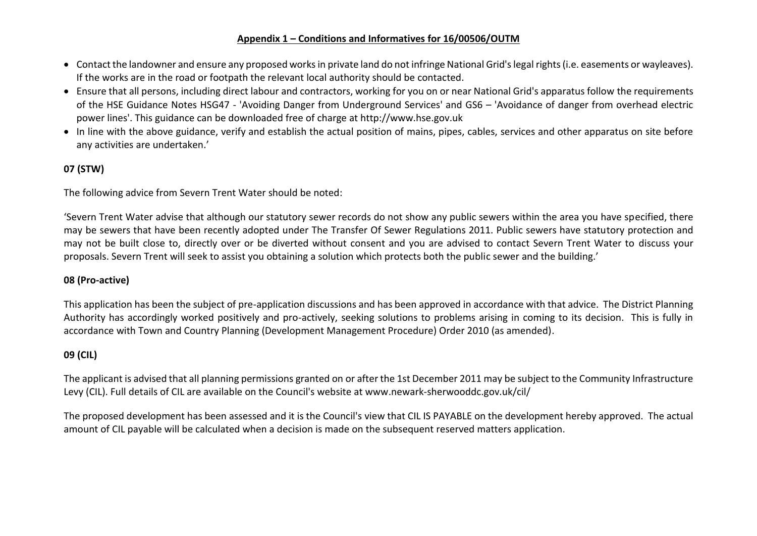- Contact the landowner and ensure any proposed works in private land do not infringe National Grid's legal rights (i.e. easements or wayleaves). If the works are in the road or footpath the relevant local authority should be contacted.
- Ensure that all persons, including direct labour and contractors, working for you on or near National Grid's apparatus follow the requirements of the HSE Guidance Notes HSG47 - 'Avoiding Danger from Underground Services' and GS6 – 'Avoidance of danger from overhead electric power lines'. This guidance can be downloaded free of charge at http://www.hse.gov.uk
- In line with the above guidance, verify and establish the actual position of mains, pipes, cables, services and other apparatus on site before any activities are undertaken.'

# **07 (STW)**

The following advice from Severn Trent Water should be noted:

'Severn Trent Water advise that although our statutory sewer records do not show any public sewers within the area you have specified, there may be sewers that have been recently adopted under The Transfer Of Sewer Regulations 2011. Public sewers have statutory protection and may not be built close to, directly over or be diverted without consent and you are advised to contact Severn Trent Water to discuss your proposals. Severn Trent will seek to assist you obtaining a solution which protects both the public sewer and the building.'

### **08 (Pro-active)**

This application has been the subject of pre-application discussions and has been approved in accordance with that advice. The District Planning Authority has accordingly worked positively and pro-actively, seeking solutions to problems arising in coming to its decision. This is fully in accordance with Town and Country Planning (Development Management Procedure) Order 2010 (as amended).

## **09 (CIL)**

The applicant is advised that all planning permissions granted on or after the 1st December 2011 may be subject to the Community Infrastructure Levy (CIL). Full details of CIL are available on the Council's website at www.newark-sherwooddc.gov.uk/cil/

The proposed development has been assessed and it is the Council's view that CIL IS PAYABLE on the development hereby approved. The actual amount of CIL payable will be calculated when a decision is made on the subsequent reserved matters application.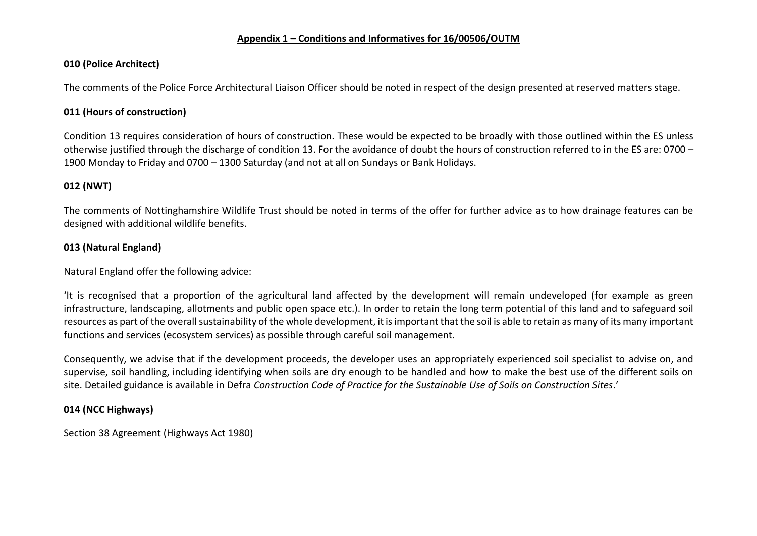### **010 (Police Architect)**

The comments of the Police Force Architectural Liaison Officer should be noted in respect of the design presented at reserved matters stage.

## **011 (Hours of construction)**

Condition 13 requires consideration of hours of construction. These would be expected to be broadly with those outlined within the ES unless otherwise justified through the discharge of condition 13. For the avoidance of doubt the hours of construction referred to in the ES are: 0700 – 1900 Monday to Friday and 0700 – 1300 Saturday (and not at all on Sundays or Bank Holidays.

# **012 (NWT)**

The comments of Nottinghamshire Wildlife Trust should be noted in terms of the offer for further advice as to how drainage features can be designed with additional wildlife benefits.

## **013 (Natural England)**

Natural England offer the following advice:

'It is recognised that a proportion of the agricultural land affected by the development will remain undeveloped (for example as green infrastructure, landscaping, allotments and public open space etc.). In order to retain the long term potential of this land and to safeguard soil resources as part of the overall sustainability of the whole development, it is important that the soil is able to retain as many of its many important functions and services (ecosystem services) as possible through careful soil management.

Consequently, we advise that if the development proceeds, the developer uses an appropriately experienced soil specialist to advise on, and supervise, soil handling, including identifying when soils are dry enough to be handled and how to make the best use of the different soils on site. Detailed guidance is available in Defra *Construction Code of Practice for the Sustainable Use of Soils on Construction Sites*.'

## **014 (NCC Highways)**

Section 38 Agreement (Highways Act 1980)